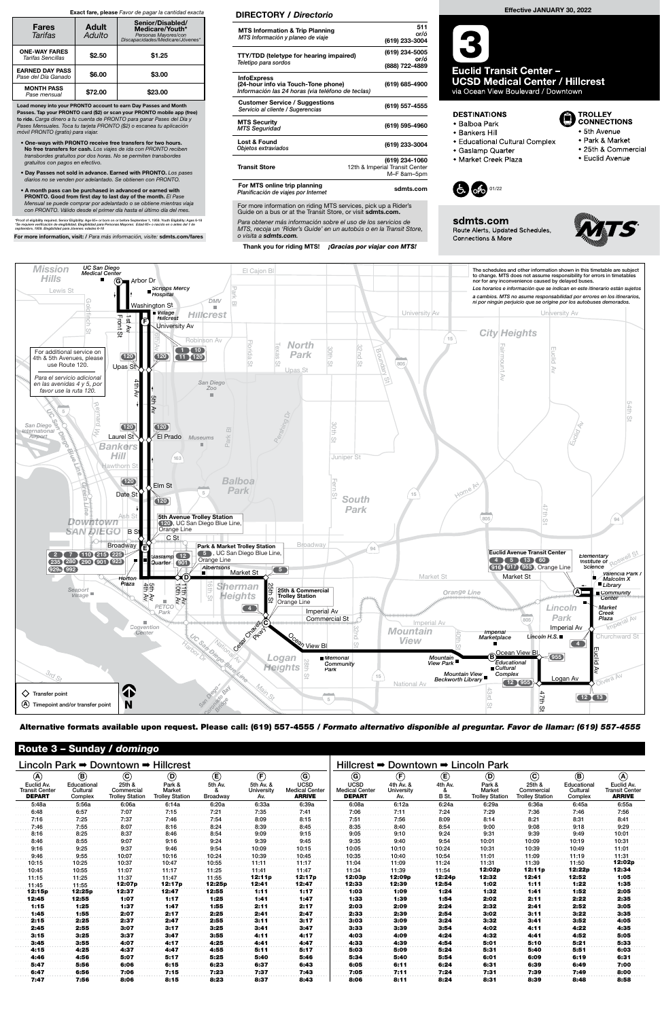| Lincoln Park $\Rightarrow$ Downtown $\Rightarrow$ Hillcrest |                                    |                                                |                                            |                           |                                |                                                       | Hillcrest $\Rightarrow$<br>Downtown → Lincoln Park    |                                |                  |                                                   |                                                |                                    |                                                      |
|-------------------------------------------------------------|------------------------------------|------------------------------------------------|--------------------------------------------|---------------------------|--------------------------------|-------------------------------------------------------|-------------------------------------------------------|--------------------------------|------------------|---------------------------------------------------|------------------------------------------------|------------------------------------|------------------------------------------------------|
| $\circledA$                                                 | $^{\circledR}$                     | $\odot$                                        | $^{\circledR}$                             | $\left(\mathbf{E}\right)$ | $\bigoplus$                    | $\odot$                                               | $\circledcirc$                                        | $\left(\widehat{F}\right)$     | $^{\circledR}$   | $\circledcirc$                                    | $\odot$                                        | $\circledR$                        | $\circledA$                                          |
| Euclid Av.<br><b>Transit Center</b><br><b>DEPART</b>        | Educational<br>Cultural<br>Complex | 25th &<br>Commercial<br><b>Trolley Station</b> | Park &<br>Market<br><b>Trolley Station</b> | 5th Av.<br>Broadway       | 5th Av. &<br>University<br>Av. | <b>UCSD</b><br><b>Medical Center</b><br><b>ARRIVE</b> | <b>UCSD</b><br><b>Medical Center</b><br><b>DEPART</b> | 4th Av. &<br>University<br>Av. | 4th Av.<br>B St. | Park &<br><b>Market</b><br><b>Trolley Station</b> | 25th &<br>Commercial<br><b>Trolley Station</b> | Educational<br>Cultural<br>Complex | Euclid Av.<br><b>Transit Center</b><br><b>ARRIVE</b> |
| 5:48a                                                       | 5:56a                              | 6:06a                                          | 6:14a                                      | 6:20a                     | 6:33a                          | 6:39a                                                 | 6:08a                                                 | 6:12a                          | 6:24a            | 6:29a                                             | 6:36a                                          | 6:45a                              | 6:55a                                                |
| 6:48                                                        | 6:57                               | 7:07                                           | 7:15                                       | 7:21                      | 7:35                           | 7:41                                                  | 7:06                                                  | 7:11                           | 7:24             | 7:29                                              | 7:36                                           | 7:46                               | 7:56                                                 |
| 7:16                                                        | 7:25                               | 7:37                                           | 7:46                                       | 7:54                      | 8:09                           | 8:15                                                  | 7:51                                                  | 7:56                           | 8:09             | 8:14                                              | 8:21                                           | 8:31                               | 8:41                                                 |
| 7:46                                                        | 7:55                               | 8:07                                           | 8:16                                       | 8:24                      | 8:39                           | 8:45                                                  | 8:35                                                  | 8:40                           | 8:54             | 9:00                                              | 9:08                                           | 9:18                               | 9:29                                                 |
| 8:16                                                        | 8:25                               | 8:37                                           | 8:46                                       | 8:54                      | 9:09                           | 9:15                                                  | 9:05                                                  | 9:10                           | 9:24             | 9:31                                              | 9:39                                           | 9:49                               | 10:01                                                |
| 8:46                                                        | 8:55                               | 9:07                                           | 9:16                                       | 9:24                      | 9:39                           | 9:45                                                  | 9:35                                                  | 9:40                           | 9:54             | 10:01                                             | 10:09                                          | 10:19                              | 10:31                                                |
| 9:16                                                        | 9:25                               | 9:37                                           | 9:46                                       | 9:54                      | 10:09                          | 10:15                                                 | 10:05                                                 | 10:10                          | 10:24            | 10:31                                             | 10:39                                          | 10:49                              | 11:01                                                |
| 9:46                                                        | 9:55                               | 10:07                                          | 10:16                                      | 10:24                     | 10:39                          | 10:45                                                 | 10:35                                                 | 10:40                          | 10:54            | 11:01                                             | 11:09                                          | 11:19                              | 11:31                                                |
| 10:15                                                       | 10:25                              | 10:37                                          | 10:47                                      | 10:55                     | 11:11                          | 11:17                                                 | 11:04                                                 | 11:09                          | 11:24            | 11:31                                             | 11:39                                          | 11:50                              | 12:02p                                               |
| 10:45                                                       | 10:55                              | 11:07                                          | 11:17                                      | 11:25                     | 11:41                          | 11:47                                                 | 11:34                                                 | 11:39                          | 11:54            | 12:02p                                            | 12:11p                                         | 12:22p                             | 12:34                                                |
| 11:15                                                       | 11:25                              | 11:37                                          | 11:47                                      | 11:55                     | 12:11p                         | 12:17p                                                | 12:03p                                                | 12:09p                         | 12:24p           | 12:32                                             | 12:41                                          | 12:52                              | 1:05                                                 |
| 11:45                                                       | 11:55                              | 12:07p                                         | 12:17p                                     | 12:25p                    | 12:41                          | 12:47                                                 | 12:33                                                 | 12:39                          | 12:54            | 1:02                                              | 1:11                                           | 1:22                               | 1:35                                                 |
| 12:15p                                                      | 12:25p                             | 12:37                                          | 12:47                                      | 12:55                     | 1:11                           | 1:17                                                  | 1:03                                                  | 1:09                           | 1:24             | 1:32                                              | 1:41                                           | 1:52                               | 2:05                                                 |
| 12:45                                                       | 12:55                              | 1:07                                           | 1:17                                       | 1:25                      | 1:41                           | 1:47                                                  | 1:33                                                  | 1:39                           | 1:54             | 2:02                                              | 2:11                                           | 2:22                               | 2:35                                                 |
| 1:15                                                        | 1:25                               | 1:37                                           | 1:47                                       | 1:55                      | 2:11                           | 2:17                                                  | 2:03                                                  | 2:09                           | 2:24             | 2:32                                              | 2:41                                           | 2:52                               | 3:05                                                 |
| 1:45                                                        | 1:55                               | 2:07                                           | 2:17                                       | 2:25                      | 2:41                           | 2:47                                                  | 2:33                                                  | 2:39                           | 2:54             | 3:02                                              | 3:11                                           | 3:22                               | 3:35                                                 |
| 2:15                                                        | 2:25                               | 2:37                                           | 2:47                                       | 2:55                      | 3:11                           | 3:17                                                  | 3:03                                                  | 3:09                           | 3:24             | 3:32                                              | 3:41                                           | 3:52                               | 4:05                                                 |
| 2:45                                                        | 2:55                               | 3:07                                           | 3:17                                       | 3:25                      | 3:41                           | 3:47                                                  | 3:33                                                  | 3:39                           | 3:54             | 4:02                                              | 4:11                                           | 4:22                               | 4:35                                                 |
| 3:15                                                        | 3:25                               | 3:37                                           | 3:47                                       | 3:55                      | 4:11                           | 4:17                                                  | 4:03                                                  | 4:09                           | 4:24             | 4:32                                              | 4:41                                           | 4:52                               | 5:05                                                 |
| 3:45                                                        | 3:55                               | 4:07                                           | 4:17                                       | 4:25                      | 4:41                           | 4:47                                                  | 4:33                                                  | 4:39                           | 4:54             | 5:01                                              | 5:10                                           | 5:21                               | 5:33                                                 |
| 4:15                                                        | 4:25                               | 4:37                                           | 4:47                                       | 4:55                      | 5:11                           | 5:17                                                  | 5:03                                                  | 5:09                           | 5:24             | 5:31                                              | 5:40                                           | 5:51                               | 6:03                                                 |
| 4:46                                                        | 4:56                               | 5:07                                           | 5:17                                       | 5:25                      | 5:40                           | 5:46                                                  | 5:34                                                  | 5:40                           | 5:54             | 6:01                                              | 6:09                                           | 6:19                               | 6:31                                                 |
| 5:47                                                        | 5:56                               | 6:06                                           | 6:15                                       | 6:23                      | 6:37                           | 6:43                                                  | 6:05                                                  | 6:11                           | 6:24             | 6:31                                              | 6:39                                           | 6:49                               | 7:00                                                 |
| 6:47                                                        | 6:56                               | 7:06                                           | 7:15                                       | 7:23                      | 7:37                           | 7:43                                                  | 7:05                                                  | 7:11                           | 7:24             | 7:31                                              | 7:39                                           | 7:49                               | 8:00                                                 |
| 7:47                                                        | 7:56                               | 8:06                                           | 8:15                                       | 8:23                      | 8:37                           | 8:43                                                  | 8:06                                                  | 8:11                           | 8:24             | 8:31                                              | 8:39                                           | 8:48                               | 8:58                                                 |

### Route 3 – Sunday / domingo

For more information on riding MTS services, pick up a Rider's Guide on a bus or at the Transit Store, or visit sdmts.com.



Alternative formats available upon request. Please call: (619) 557-4555 / Formato alternativo disponible al preguntar. Favor de llamar: (619) 557-4555



**Euclid Transit Center – UCSD Medical Center / Hillcrest** via Ocean View Boulevard / Downtown

### **DESTINATIONS**

- · Balboa Park
- · Bankers Hill
- Educational Cultural Complex
- · Gaslamp Quarter
- · Market Creek Plaza





sdmts.com Route Alerts, Updated Schedules, **Connections & More** 



**D** TROLLEY<br>CONNECTIONS

• 5th Avenue

• Park & Market

• Euclid Avenue

• 25th & Commercial

Para obtener más información sobre el uso de los servicios de MTS, recoja un 'Rider's Guide' en un autobús o en la Transit Store, o visita a sdmts.com.

Thank you for riding MTS! **¡Gracias por viajar con MTS!** 

### DIRECTORY / Directorio

| <b>MTS Information &amp; Trip Planning</b><br>MTS Información y planeo de viaje                                | 511<br>or/ó<br>(619) 233-3004                                   |
|----------------------------------------------------------------------------------------------------------------|-----------------------------------------------------------------|
| TTY/TDD (teletype for hearing impaired)<br>Teletipo para sordos                                                | (619) 234-5005<br>or/ó<br>(888) 722-4889                        |
| <b>InfoExpress</b><br>(24-hour info via Touch-Tone phone)<br>Información las 24 horas (via teléfono de teclas) | (619) 685-4900                                                  |
| <b>Customer Service / Suggestions</b><br>Servicio al cliente / Sugerencias                                     | (619) 557-4555                                                  |
| <b>MTS Security</b><br><b>MTS Seguridad</b>                                                                    | (619) 595-4960                                                  |
| Lost & Found<br>Objetos extraviados                                                                            | (619) 233-3004                                                  |
| <b>Transit Store</b>                                                                                           | (619) 234-1060<br>12th & Imperial Transit Center<br>M-F 8am-5pm |
| For MTS online trip planning<br>Planificación de viajes por Internet                                           | sdmts.com                                                       |

Load money into your PRONTO account to earn Day Passes and Month Passes. Tap your PRONTO card (\$2) or scan your PRONTO mobile app (free) to ride. Carga dinero a tu cuenta de PRONTO para ganar Pases del Día y Pases Mensuales. Toca tu tarjeta PRONTO (\$2) o escanea tu aplicación móvil PRONTO (gratis) para viajar.

- One-ways with PRONTO receive free transfers for two hours. No free transfers for cash. Los viajes de ida con PRONTO reciben transbordes gratuitos por dos horas. No se permiten transbordes gratuitos con pagos en efectivo.
- Day Passes not sold in advance. Earned with PRONTO. Los pases diarios no se venden por adelantado. Se obtienen con PRONTO.
- A month pass can be purchased in advanced or earned with PRONTO. Good from first day to last day of the month. El Pase Mensual se puede comprar por adelantado o se obtiene mientras viaja con PRONTO. Válido desde el primer día hasta el último día del mes.

\*Proof of eligibility required. Senior Eligibility: Age 65+ or born on or before September 1, 1959. Youth Eligibility: Ages 6-18<br>\*Se requiere verificación de elegibilidad. Elegibilidad para Personas Mayores: Edad 65+ o na

For more information, visit: / Para más información, visite: sdmts.com/fares

#### Exact fare, please Favor de pagar la cantidad exacta

| <b>Fares</b><br>Tarifas                       | <b>Adult</b><br>Adulto | Senior/Disabled/<br>Medicare/Youth*<br>Personas Mayores/con<br>Discapacidades/Medicare/Jóvenes* |  |  |  |  |
|-----------------------------------------------|------------------------|-------------------------------------------------------------------------------------------------|--|--|--|--|
| <b>ONE-WAY FARES</b><br>Tarifas Sencillas     | \$2.50                 | \$1.25                                                                                          |  |  |  |  |
| <b>EARNED DAY PASS</b><br>Pase del Día Ganado | \$6.00                 | \$3.00                                                                                          |  |  |  |  |
| <b>MONTH PASS</b><br>Pase mensual             | \$72.00                | \$23.00                                                                                         |  |  |  |  |